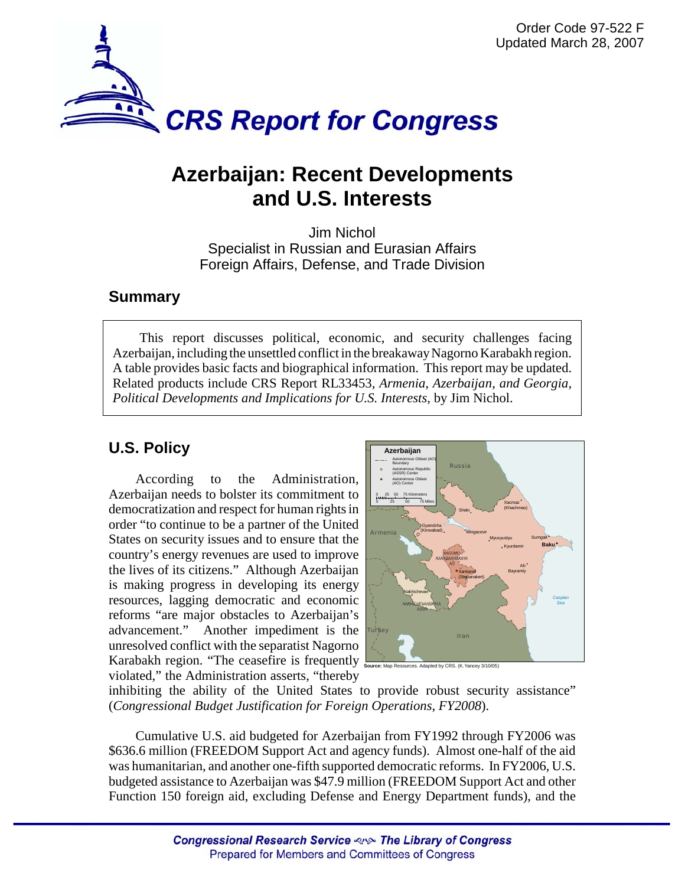

# **Azerbaijan: Recent Developments and U.S. Interests**

Jim Nichol Specialist in Russian and Eurasian Affairs Foreign Affairs, Defense, and Trade Division

### **Summary**

This report discusses political, economic, and security challenges facing Azerbaijan, including the unsettled conflict in the breakaway Nagorno Karabakh region. A table provides basic facts and biographical information. This report may be updated. Related products include CRS Report RL33453, *Armenia, Azerbaijan, and Georgia, Political Developments and Implications for U.S. Interests*, by Jim Nichol.

## **U.S. Policy**

According to the Administration, Azerbaijan needs to bolster its commitment to democratization and respect for human rights in order "to continue to be a partner of the United States on security issues and to ensure that the country's energy revenues are used to improve the lives of its citizens." Although Azerbaijan is making progress in developing its energy resources, lagging democratic and economic reforms "are major obstacles to Azerbaijan's advancement." Another impediment is the unresolved conflict with the separatist Nagorno Karabakh region. "The ceasefire is frequently violated," the Administration asserts, "thereby



**Source:** Map Resources. Adapted by CRS. (K.Yancey 3/10/05)

inhibiting the ability of the United States to provide robust security assistance" (*Congressional Budget Justification for Foreign Operations*, *FY2008*).

Cumulative U.S. aid budgeted for Azerbaijan from FY1992 through FY2006 was \$636.6 million (FREEDOM Support Act and agency funds). Almost one-half of the aid was humanitarian, and another one-fifth supported democratic reforms. In FY2006, U.S. budgeted assistance to Azerbaijan was \$47.9 million (FREEDOM Support Act and other Function 150 foreign aid, excluding Defense and Energy Department funds), and the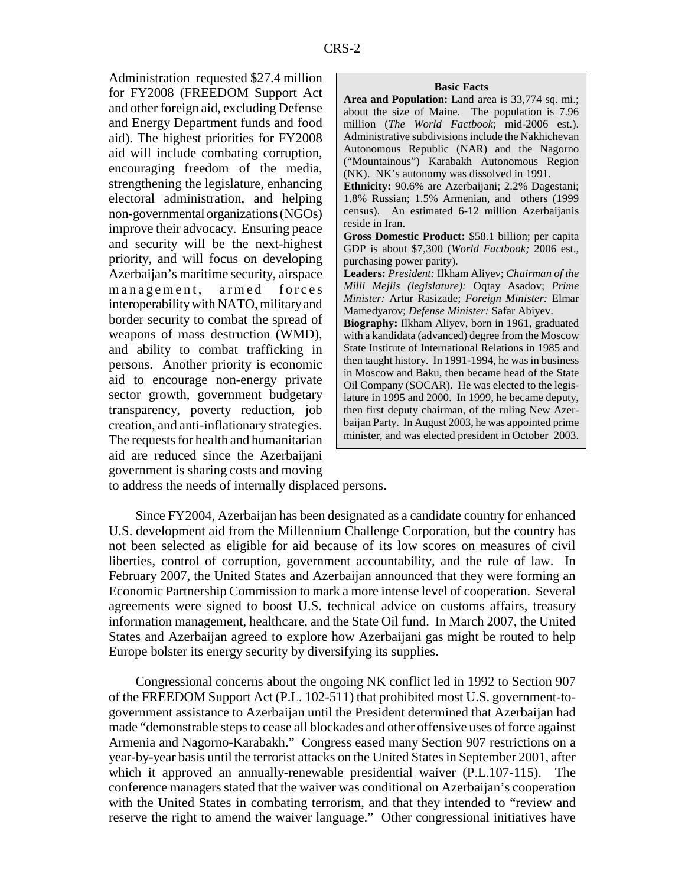Administration requested \$27.4 million for FY2008 (FREEDOM Support Act and other foreign aid, excluding Defense and Energy Department funds and food aid). The highest priorities for FY2008 aid will include combating corruption, encouraging freedom of the media, strengthening the legislature, enhancing electoral administration, and helping non-governmental organizations (NGOs) improve their advocacy. Ensuring peace and security will be the next-highest priority, and will focus on developing Azerbaijan's maritime security, airspace management, armed forces interoperability with NATO, military and border security to combat the spread of weapons of mass destruction (WMD), and ability to combat trafficking in persons. Another priority is economic aid to encourage non-energy private sector growth, government budgetary transparency, poverty reduction, job creation, and anti-inflationary strategies. The requests for health and humanitarian aid are reduced since the Azerbaijani government is sharing costs and moving

#### **Basic Facts**

**Area and Population:** Land area is 33,774 sq. mi.; about the size of Maine. The population is 7.96 million (*The World Factbook*; mid-2006 est.). Administrative subdivisions include the Nakhichevan Autonomous Republic (NAR) and the Nagorno ("Mountainous") Karabakh Autonomous Region (NK). NK's autonomy was dissolved in 1991.

**Ethnicity:** 90.6% are Azerbaijani; 2.2% Dagestani; 1.8% Russian; 1.5% Armenian, and others (1999 census). An estimated 6-12 million Azerbaijanis reside in Iran.

**Gross Domestic Product:** \$58.1 billion; per capita GDP is about \$7,300 (*World Factbook;* 2006 est., purchasing power parity).

**Leaders:** *President:* Ilkham Aliyev; *Chairman of the Milli Mejlis (legislature):* Oqtay Asadov; *Prime Minister:* Artur Rasizade; *Foreign Minister:* Elmar Mamedyarov; *Defense Minister:* Safar Abiyev.

**Biography:** Ilkham Aliyev, born in 1961, graduated with a kandidata (advanced) degree from the Moscow State Institute of International Relations in 1985 and then taught history. In 1991-1994, he was in business in Moscow and Baku, then became head of the State Oil Company (SOCAR). He was elected to the legislature in 1995 and 2000. In 1999, he became deputy, then first deputy chairman, of the ruling New Azerbaijan Party. In August 2003, he was appointed prime minister, and was elected president in October 2003.

to address the needs of internally displaced persons.

Since FY2004, Azerbaijan has been designated as a candidate country for enhanced U.S. development aid from the Millennium Challenge Corporation, but the country has not been selected as eligible for aid because of its low scores on measures of civil liberties, control of corruption, government accountability, and the rule of law. In February 2007, the United States and Azerbaijan announced that they were forming an Economic Partnership Commission to mark a more intense level of cooperation. Several agreements were signed to boost U.S. technical advice on customs affairs, treasury information management, healthcare, and the State Oil fund. In March 2007, the United States and Azerbaijan agreed to explore how Azerbaijani gas might be routed to help Europe bolster its energy security by diversifying its supplies.

Congressional concerns about the ongoing NK conflict led in 1992 to Section 907 of the FREEDOM Support Act (P.L. 102-511) that prohibited most U.S. government-togovernment assistance to Azerbaijan until the President determined that Azerbaijan had made "demonstrable steps to cease all blockades and other offensive uses of force against Armenia and Nagorno-Karabakh." Congress eased many Section 907 restrictions on a year-by-year basis until the terrorist attacks on the United States in September 2001, after which it approved an annually-renewable presidential waiver (P.L.107-115). The conference managers stated that the waiver was conditional on Azerbaijan's cooperation with the United States in combating terrorism, and that they intended to "review and reserve the right to amend the waiver language." Other congressional initiatives have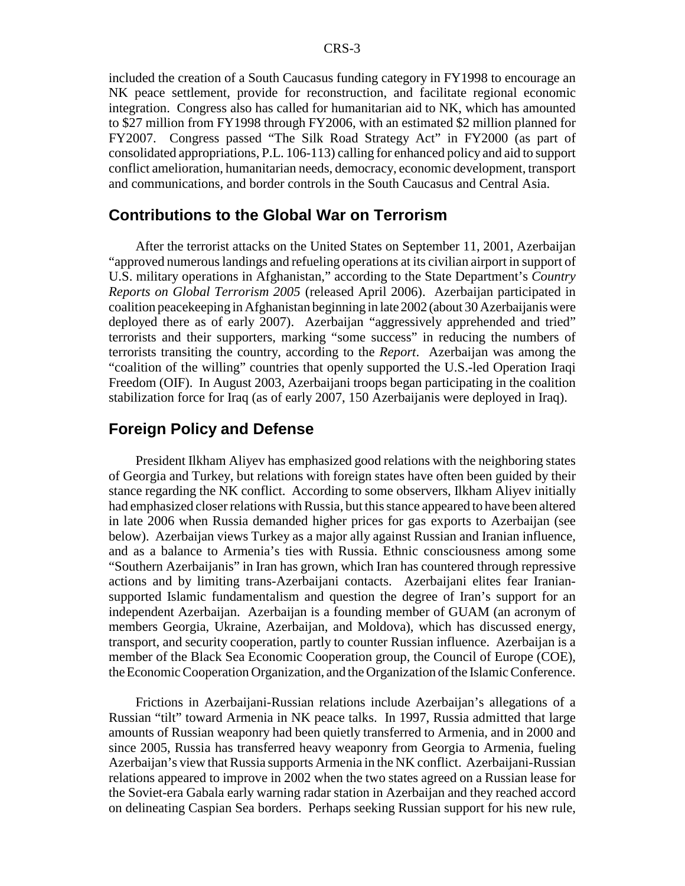included the creation of a South Caucasus funding category in FY1998 to encourage an NK peace settlement, provide for reconstruction, and facilitate regional economic integration. Congress also has called for humanitarian aid to NK, which has amounted to \$27 million from FY1998 through FY2006, with an estimated \$2 million planned for FY2007. Congress passed "The Silk Road Strategy Act" in FY2000 (as part of consolidated appropriations, P.L. 106-113) calling for enhanced policy and aid to support conflict amelioration, humanitarian needs, democracy, economic development, transport and communications, and border controls in the South Caucasus and Central Asia.

### **Contributions to the Global War on Terrorism**

After the terrorist attacks on the United States on September 11, 2001, Azerbaijan "approved numerous landings and refueling operations at its civilian airport in support of U.S. military operations in Afghanistan," according to the State Department's *Country Reports on Global Terrorism 2005* (released April 2006). Azerbaijan participated in coalition peacekeeping in Afghanistan beginning in late 2002 (about 30 Azerbaijanis were deployed there as of early 2007). Azerbaijan "aggressively apprehended and tried" terrorists and their supporters, marking "some success" in reducing the numbers of terrorists transiting the country, according to the *Report*. Azerbaijan was among the "coalition of the willing" countries that openly supported the U.S.-led Operation Iraqi Freedom (OIF). In August 2003, Azerbaijani troops began participating in the coalition stabilization force for Iraq (as of early 2007, 150 Azerbaijanis were deployed in Iraq).

### **Foreign Policy and Defense**

President Ilkham Aliyev has emphasized good relations with the neighboring states of Georgia and Turkey, but relations with foreign states have often been guided by their stance regarding the NK conflict. According to some observers, Ilkham Aliyev initially had emphasized closer relations with Russia, but this stance appeared to have been altered in late 2006 when Russia demanded higher prices for gas exports to Azerbaijan (see below). Azerbaijan views Turkey as a major ally against Russian and Iranian influence, and as a balance to Armenia's ties with Russia. Ethnic consciousness among some "Southern Azerbaijanis" in Iran has grown, which Iran has countered through repressive actions and by limiting trans-Azerbaijani contacts. Azerbaijani elites fear Iraniansupported Islamic fundamentalism and question the degree of Iran's support for an independent Azerbaijan. Azerbaijan is a founding member of GUAM (an acronym of members Georgia, Ukraine, Azerbaijan, and Moldova), which has discussed energy, transport, and security cooperation, partly to counter Russian influence. Azerbaijan is a member of the Black Sea Economic Cooperation group, the Council of Europe (COE), the Economic Cooperation Organization, and the Organization of the Islamic Conference.

Frictions in Azerbaijani-Russian relations include Azerbaijan's allegations of a Russian "tilt" toward Armenia in NK peace talks. In 1997, Russia admitted that large amounts of Russian weaponry had been quietly transferred to Armenia, and in 2000 and since 2005, Russia has transferred heavy weaponry from Georgia to Armenia, fueling Azerbaijan's view that Russia supports Armenia in the NK conflict. Azerbaijani-Russian relations appeared to improve in 2002 when the two states agreed on a Russian lease for the Soviet-era Gabala early warning radar station in Azerbaijan and they reached accord on delineating Caspian Sea borders. Perhaps seeking Russian support for his new rule,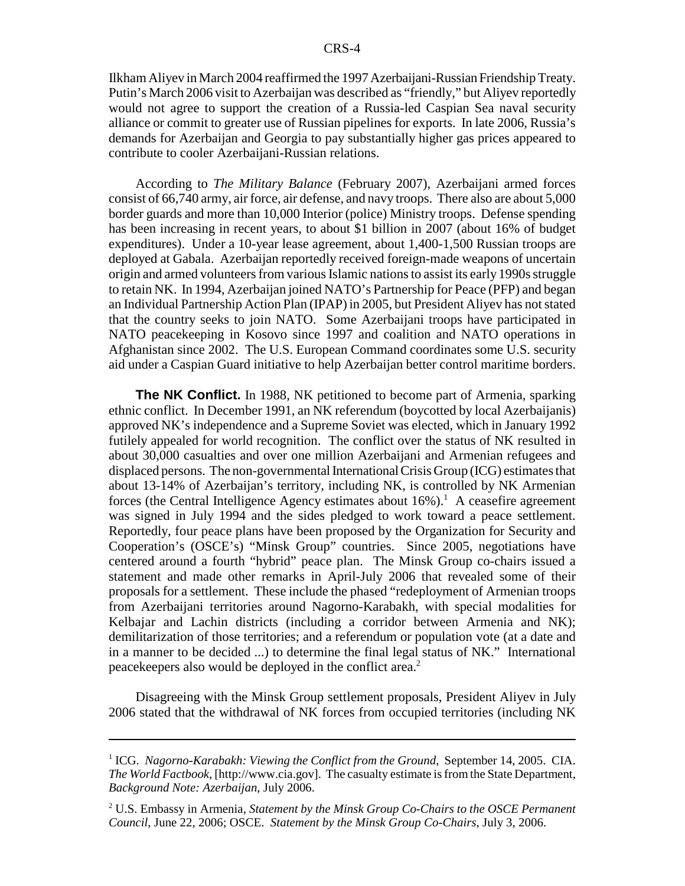Ilkham Aliyev in March 2004 reaffirmed the 1997 Azerbaijani-Russian Friendship Treaty. Putin's March 2006 visit to Azerbaijan was described as "friendly," but Aliyev reportedly would not agree to support the creation of a Russia-led Caspian Sea naval security alliance or commit to greater use of Russian pipelines for exports. In late 2006, Russia's demands for Azerbaijan and Georgia to pay substantially higher gas prices appeared to contribute to cooler Azerbaijani-Russian relations.

According to *The Military Balance* (February 2007), Azerbaijani armed forces consist of 66,740 army, air force, air defense, and navy troops. There also are about 5,000 border guards and more than 10,000 Interior (police) Ministry troops. Defense spending has been increasing in recent years, to about \$1 billion in 2007 (about 16% of budget expenditures). Under a 10-year lease agreement, about 1,400-1,500 Russian troops are deployed at Gabala. Azerbaijan reportedly received foreign-made weapons of uncertain origin and armed volunteers from various Islamic nations to assist its early 1990s struggle to retain NK. In 1994, Azerbaijan joined NATO's Partnership for Peace (PFP) and began an Individual Partnership Action Plan (IPAP) in 2005, but President Aliyev has not stated that the country seeks to join NATO. Some Azerbaijani troops have participated in NATO peacekeeping in Kosovo since 1997 and coalition and NATO operations in Afghanistan since 2002. The U.S. European Command coordinates some U.S. security aid under a Caspian Guard initiative to help Azerbaijan better control maritime borders.

**The NK Conflict.** In 1988, NK petitioned to become part of Armenia, sparking ethnic conflict. In December 1991, an NK referendum (boycotted by local Azerbaijanis) approved NK's independence and a Supreme Soviet was elected, which in January 1992 futilely appealed for world recognition. The conflict over the status of NK resulted in about 30,000 casualties and over one million Azerbaijani and Armenian refugees and displaced persons. The non-governmental International Crisis Group (ICG) estimates that about 13-14% of Azerbaijan's territory, including NK, is controlled by NK Armenian forces (the Central Intelligence Agency estimates about  $16\%$ ).<sup>1</sup> A ceasefire agreement was signed in July 1994 and the sides pledged to work toward a peace settlement. Reportedly, four peace plans have been proposed by the Organization for Security and Cooperation's (OSCE's) "Minsk Group" countries. Since 2005, negotiations have centered around a fourth "hybrid" peace plan. The Minsk Group co-chairs issued a statement and made other remarks in April-July 2006 that revealed some of their proposals for a settlement. These include the phased "redeployment of Armenian troops from Azerbaijani territories around Nagorno-Karabakh, with special modalities for Kelbajar and Lachin districts (including a corridor between Armenia and NK); demilitarization of those territories; and a referendum or population vote (at a date and in a manner to be decided ...) to determine the final legal status of NK." International peacekeepers also would be deployed in the conflict area.<sup>2</sup>

Disagreeing with the Minsk Group settlement proposals, President Aliyev in July 2006 stated that the withdrawal of NK forces from occupied territories (including NK

<sup>&</sup>lt;sup>1</sup> ICG. *Nagorno-Karabakh: Viewing the Conflict from the Ground*, September 14, 2005. CIA. *The World Factbook*, [http://www.cia.gov]. The casualty estimate is from the State Department, *Background Note: Azerbaijan*, July 2006.

<sup>2</sup> U.S. Embassy in Armenia, *Statement by the Minsk Group Co-Chairs to the OSCE Permanent Council*, June 22, 2006; OSCE. *Statement by the Minsk Group Co-Chairs*, July 3, 2006.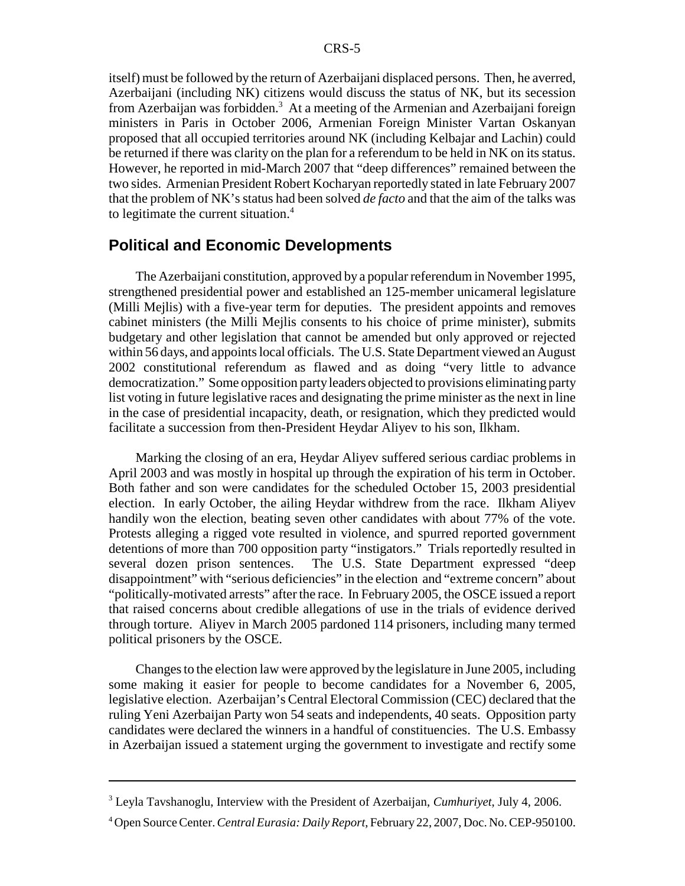itself) must be followed by the return of Azerbaijani displaced persons. Then, he averred, Azerbaijani (including NK) citizens would discuss the status of NK, but its secession from Azerbaijan was forbidden.<sup>3</sup> At a meeting of the Armenian and Azerbaijani foreign ministers in Paris in October 2006, Armenian Foreign Minister Vartan Oskanyan proposed that all occupied territories around NK (including Kelbajar and Lachin) could be returned if there was clarity on the plan for a referendum to be held in NK on its status. However, he reported in mid-March 2007 that "deep differences" remained between the two sides. Armenian President Robert Kocharyan reportedly stated in late February 2007 that the problem of NK's status had been solved *de facto* and that the aim of the talks was to legitimate the current situation.<sup>4</sup>

### **Political and Economic Developments**

The Azerbaijani constitution, approved by a popular referendum in November 1995, strengthened presidential power and established an 125-member unicameral legislature (Milli Mejlis) with a five-year term for deputies. The president appoints and removes cabinet ministers (the Milli Mejlis consents to his choice of prime minister), submits budgetary and other legislation that cannot be amended but only approved or rejected within 56 days, and appoints local officials. The U.S. State Department viewed an August 2002 constitutional referendum as flawed and as doing "very little to advance democratization." Some opposition party leaders objected to provisions eliminating party list voting in future legislative races and designating the prime minister as the next in line in the case of presidential incapacity, death, or resignation, which they predicted would facilitate a succession from then-President Heydar Aliyev to his son, Ilkham.

Marking the closing of an era, Heydar Aliyev suffered serious cardiac problems in April 2003 and was mostly in hospital up through the expiration of his term in October. Both father and son were candidates for the scheduled October 15, 2003 presidential election. In early October, the ailing Heydar withdrew from the race. Ilkham Aliyev handily won the election, beating seven other candidates with about 77% of the vote. Protests alleging a rigged vote resulted in violence, and spurred reported government detentions of more than 700 opposition party "instigators." Trials reportedly resulted in several dozen prison sentences. The U.S. State Department expressed "deep disappointment" with "serious deficiencies" in the election and "extreme concern" about "politically-motivated arrests" after the race. In February 2005, the OSCE issued a report that raised concerns about credible allegations of use in the trials of evidence derived through torture. Aliyev in March 2005 pardoned 114 prisoners, including many termed political prisoners by the OSCE.

Changes to the election law were approved by the legislature in June 2005, including some making it easier for people to become candidates for a November 6, 2005, legislative election. Azerbaijan's Central Electoral Commission (CEC) declared that the ruling Yeni Azerbaijan Party won 54 seats and independents, 40 seats. Opposition party candidates were declared the winners in a handful of constituencies. The U.S. Embassy in Azerbaijan issued a statement urging the government to investigate and rectify some

<sup>3</sup> Leyla Tavshanoglu, Interview with the President of Azerbaijan, *Cumhuriyet*, July 4, 2006.

<sup>4</sup> Open Source Center. *Central Eurasia: Daily Report*, February 22, 2007, Doc. No. CEP-950100.